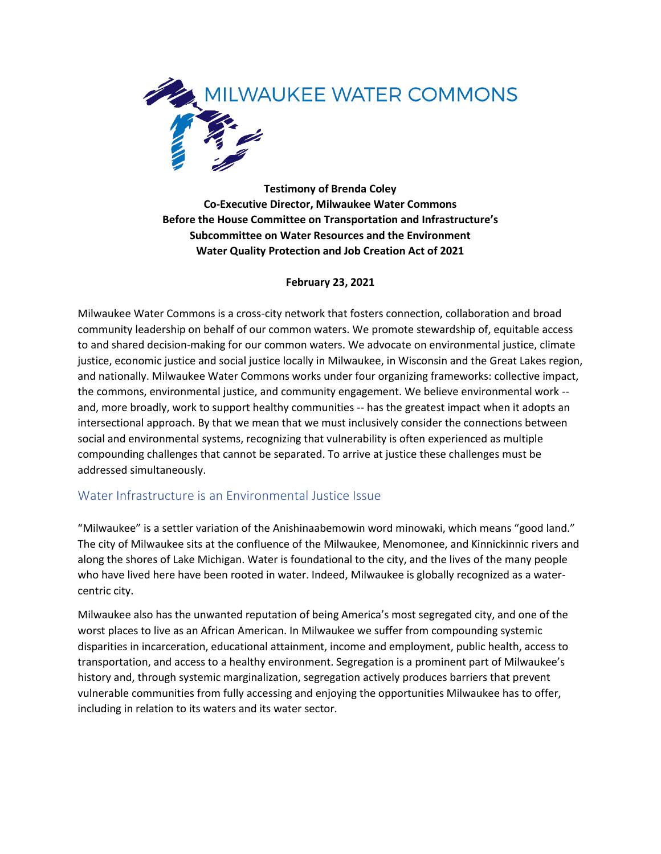

**Testimony of Brenda Coley Co-Executive Director, Milwaukee Water Commons Before the House Committee on Transportation and Infrastructure's Subcommittee on Water Resources and the Environment Water Quality Protection and Job Creation Act of 2021**

### **February 23, 2021**

Milwaukee Water Commons is a cross-city network that fosters connection, collaboration and broad community leadership on behalf of our common waters. We promote stewardship of, equitable access to and shared decision-making for our common waters. We advocate on environmental justice, climate justice, economic justice and social justice locally in Milwaukee, in Wisconsin and the Great Lakes region, and nationally. Milwaukee Water Commons works under four organizing frameworks: collective impact, the commons, environmental justice, and community engagement. We believe environmental work - and, more broadly, work to support healthy communities -- has the greatest impact when it adopts an intersectional approach. By that we mean that we must inclusively consider the connections between social and environmental systems, recognizing that vulnerability is often experienced as multiple compounding challenges that cannot be separated. To arrive at justice these challenges must be addressed simultaneously.

## Water Infrastructure is an Environmental Justice Issue

"Milwaukee" is a settler variation of the Anishinaabemowin word minowaki, which means "good land." The city of Milwaukee sits at the confluence of the Milwaukee, Menomonee, and Kinnickinnic rivers and along the shores of Lake Michigan. Water is foundational to the city, and the lives of the many people who have lived here have been rooted in water. Indeed, Milwaukee is globally recognized as a watercentric city.

Milwaukee also has the unwanted reputation of being America's most segregated city, and one of the worst places to live as an African American. In Milwaukee we suffer from compounding systemic disparities in incarceration, educational attainment, income and employment, public health, access to transportation, and access to a healthy environment. Segregation is a prominent part of Milwaukee's history and, through systemic marginalization, segregation actively produces barriers that prevent vulnerable communities from fully accessing and enjoying the opportunities Milwaukee has to offer, including in relation to its waters and its water sector.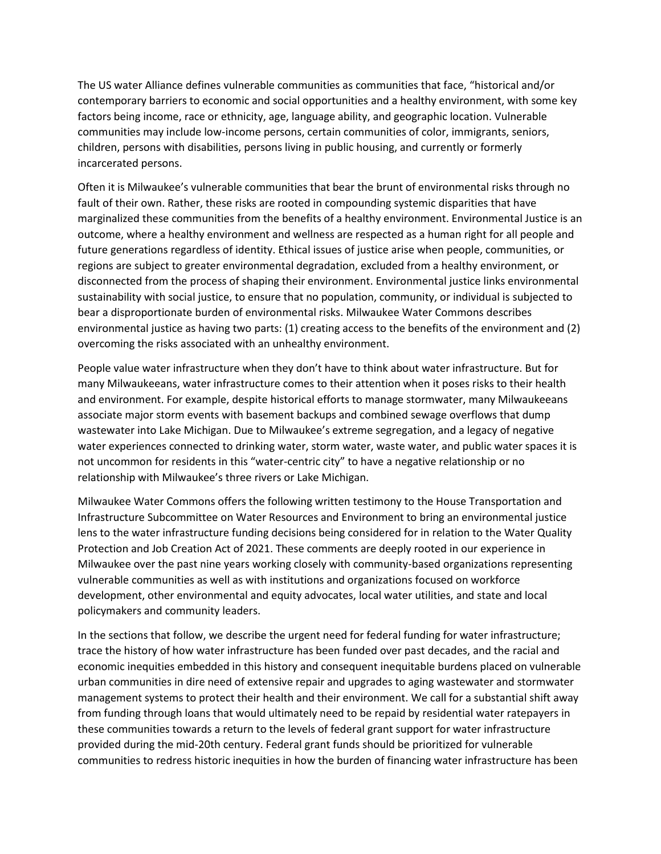The US water Alliance defines vulnerable communities as communities that face, "historical and/or contemporary barriers to economic and social opportunities and a healthy environment, with some key factors being income, race or ethnicity, age, language ability, and geographic location. Vulnerable communities may include low-income persons, certain communities of color, immigrants, seniors, children, persons with disabilities, persons living in public housing, and currently or formerly incarcerated persons.

Often it is Milwaukee's vulnerable communities that bear the brunt of environmental risks through no fault of their own. Rather, these risks are rooted in compounding systemic disparities that have marginalized these communities from the benefits of a healthy environment. Environmental Justice is an outcome, where a healthy environment and wellness are respected as a human right for all people and future generations regardless of identity. Ethical issues of justice arise when people, communities, or regions are subject to greater environmental degradation, excluded from a healthy environment, or disconnected from the process of shaping their environment. Environmental justice links environmental sustainability with social justice, to ensure that no population, community, or individual is subjected to bear a disproportionate burden of environmental risks. Milwaukee Water Commons describes environmental justice as having two parts: (1) creating access to the benefits of the environment and (2) overcoming the risks associated with an unhealthy environment.

People value water infrastructure when they don't have to think about water infrastructure. But for many Milwaukeeans, water infrastructure comes to their attention when it poses risks to their health and environment. For example, despite historical efforts to manage stormwater, many Milwaukeeans associate major storm events with basement backups and combined sewage overflows that dump wastewater into Lake Michigan. Due to Milwaukee's extreme segregation, and a legacy of negative water experiences connected to drinking water, storm water, waste water, and public water spaces it is not uncommon for residents in this "water-centric city" to have a negative relationship or no relationship with Milwaukee's three rivers or Lake Michigan.

Milwaukee Water Commons offers the following written testimony to the House Transportation and Infrastructure Subcommittee on Water Resources and Environment to bring an environmental justice lens to the water infrastructure funding decisions being considered for in relation to the Water Quality Protection and Job Creation Act of 2021. These comments are deeply rooted in our experience in Milwaukee over the past nine years working closely with community-based organizations representing vulnerable communities as well as with institutions and organizations focused on workforce development, other environmental and equity advocates, local water utilities, and state and local policymakers and community leaders.

In the sections that follow, we describe the urgent need for federal funding for water infrastructure; trace the history of how water infrastructure has been funded over past decades, and the racial and economic inequities embedded in this history and consequent inequitable burdens placed on vulnerable urban communities in dire need of extensive repair and upgrades to aging wastewater and stormwater management systems to protect their health and their environment. We call for a substantial shift away from funding through loans that would ultimately need to be repaid by residential water ratepayers in these communities towards a return to the levels of federal grant support for water infrastructure provided during the mid-20th century. Federal grant funds should be prioritized for vulnerable communities to redress historic inequities in how the burden of financing water infrastructure has been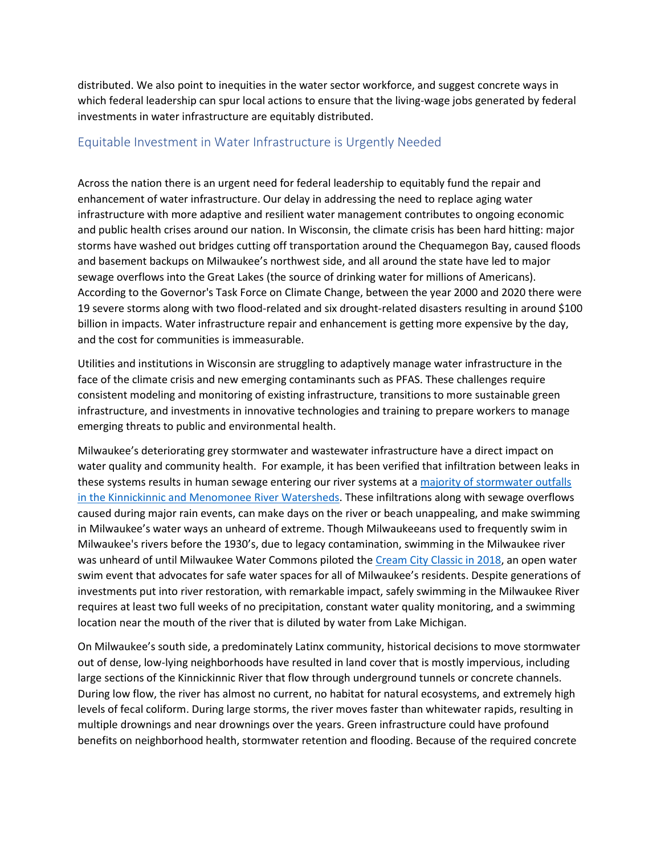distributed. We also point to inequities in the water sector workforce, and suggest concrete ways in which federal leadership can spur local actions to ensure that the living-wage jobs generated by federal investments in water infrastructure are equitably distributed.

## Equitable Investment in Water Infrastructure is Urgently Needed

Across the nation there is an urgent need for federal leadership to equitably fund the repair and enhancement of water infrastructure. Our delay in addressing the need to replace aging water infrastructure with more adaptive and resilient water management contributes to ongoing economic and public health crises around our nation. In Wisconsin, the climate crisis has been hard hitting: major storms have washed out bridges cutting off transportation around the Chequamegon Bay, caused floods and basement backups on Milwaukee's northwest side, and all around the state have led to major sewage overflows into the Great Lakes (the source of drinking water for millions of Americans). According to the Governor's Task Force on Climate Change, between the year 2000 and 2020 there were 19 severe storms along with two flood-related and six drought-related disasters resulting in around \$100 billion in impacts. Water infrastructure repair and enhancement is getting more expensive by the day, and the cost for communities is immeasurable.

Utilities and institutions in Wisconsin are struggling to adaptively manage water infrastructure in the face of the climate crisis and new emerging contaminants such as PFAS. These challenges require consistent modeling and monitoring of existing infrastructure, transitions to more sustainable green infrastructure, and investments in innovative technologies and training to prepare workers to manage emerging threats to public and environmental health.

Milwaukee's deteriorating grey stormwater and wastewater infrastructure have a direct impact on water quality and community health. For example, it has been verified that infiltration between leaks in these systems results in human sewage entering our river systems at a [majority of stormwater outfalls](https://www.milwaukeeriverkeeper.org/bacteria/stormwater-monitoring/)  [in the Kinnickinnic and Menomonee River Watersheds.](https://www.milwaukeeriverkeeper.org/bacteria/stormwater-monitoring/) These infiltrations along with sewage overflows caused during major rain events, can make days on the river or beach unappealing, and make swimming in Milwaukee's water ways an unheard of extreme. Though Milwaukeeans used to frequently swim in Milwaukee's rivers before the 1930's, due to legacy contamination, swimming in the Milwaukee river was unheard of until Milwaukee Water Commons piloted the [Cream City Classic in 2018,](https://www.creamcityclassic.org/) an open water swim event that advocates for safe water spaces for all of Milwaukee's residents. Despite generations of investments put into river restoration, with remarkable impact, safely swimming in the Milwaukee River requires at least two full weeks of no precipitation, constant water quality monitoring, and a swimming location near the mouth of the river that is diluted by water from Lake Michigan.

On Milwaukee's south side, a predominately Latinx community, historical decisions to move stormwater out of dense, low-lying neighborhoods have resulted in land cover that is mostly impervious, including large sections of the Kinnickinnic River that flow through underground tunnels or concrete channels. During low flow, the river has almost no current, no habitat for natural ecosystems, and extremely high levels of fecal coliform. During large storms, the river moves faster than whitewater rapids, resulting in multiple drownings and near drownings over the years. Green infrastructure could have profound benefits on neighborhood health, stormwater retention and flooding. Because of the required concrete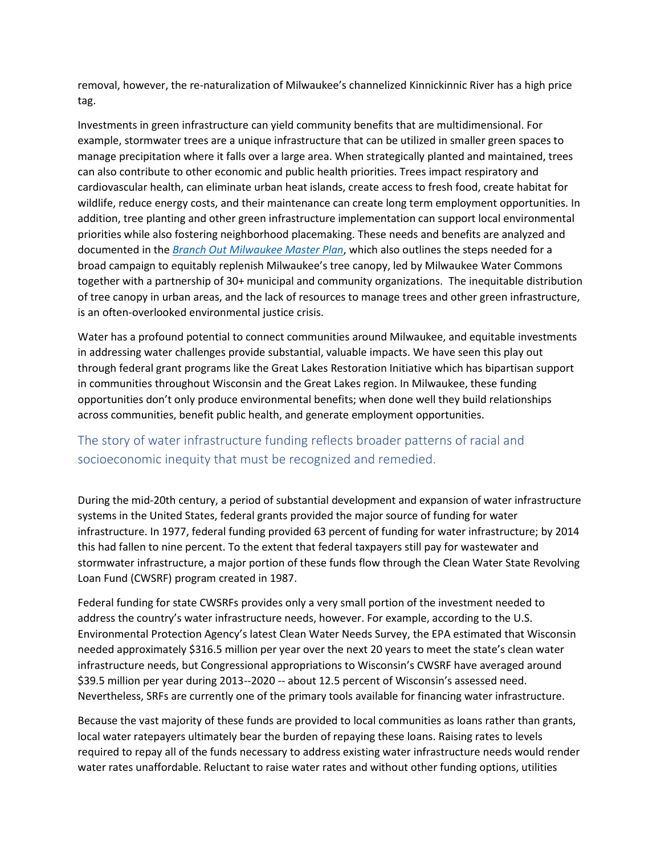removal, however, the re-naturalization of Milwaukee's channelized Kinnickinnic River has a high price tag.

Investments in green infrastructure can yield community benefits that are multidimensional. For example, stormwater trees are a unique infrastructure that can be utilized in smaller green spaces to manage precipitation where it falls over a large area. When strategically planted and maintained, trees can also contribute to other economic and public health priorities. Trees impact respiratory and cardiovascular health, can eliminate urban heat islands, create access to fresh food, create habitat for wildlife, reduce energy costs, and their maintenance can create long term employment opportunities. In addition, tree planting and other green infrastructure implementation can support local environmental priorities while also fostering neighborhood placemaking. These needs and benefits are analyzed and documented in the *Branch [Out Milwaukee Master Plan](https://0ed8a8e8-1b5a-40e2-9878-78555f299dc5.filesusr.com/ugd/69a667_0f383f9f87194a068fba8e9cdc46486d.pdf)*, which also outlines the steps needed for a broad campaign to equitably replenish Milwaukee's tree canopy, led by Milwaukee Water Commons together with a partnership of 30+ municipal and community organizations. The inequitable distribution of tree canopy in urban areas, and the lack of resources to manage trees and other green infrastructure, is an often-overlooked environmental justice crisis.

Water has a profound potential to connect communities around Milwaukee, and equitable investments in addressing water challenges provide substantial, valuable impacts. We have seen this play out through federal grant programs like the Great Lakes Restoration Initiative which has bipartisan support in communities throughout Wisconsin and the Great Lakes region. In Milwaukee, these funding opportunities don't only produce environmental benefits; when done well they build relationships across communities, benefit public health, and generate employment opportunities.

# The story of water infrastructure funding reflects broader patterns of racial and socioeconomic inequity that must be recognized and remedied.

During the mid-20th century, a period of substantial development and expansion of water infrastructure systems in the United States, federal grants provided the major source of funding for water infrastructure. In 1977, federal funding provided 63 percent of funding for water infrastructure; by 2014 this had fallen to nine percent. To the extent that federal taxpayers still pay for wastewater and stormwater infrastructure, a major portion of these funds flow through the Clean Water State Revolving Loan Fund (CWSRF) program created in 1987.

Federal funding for state CWSRFs provides only a very small portion of the investment needed to address the country's water infrastructure needs, however. For example, according to the U.S. Environmental Protection Agency's latest Clean Water Needs Survey, the EPA estimated that Wisconsin needed approximately \$316.5 million per year over the next 20 years to meet the state's clean water infrastructure needs, but Congressional appropriations to Wisconsin's CWSRF have averaged around \$39.5 million per year during 2013--2020 -- about 12.5 percent of Wisconsin's assessed need. Nevertheless, SRFs are currently one of the primary tools available for financing water infrastructure.

Because the vast majority of these funds are provided to local communities as loans rather than grants, local water ratepayers ultimately bear the burden of repaying these loans. Raising rates to levels required to repay all of the funds necessary to address existing water infrastructure needs would render water rates unaffordable. Reluctant to raise water rates and without other funding options, utilities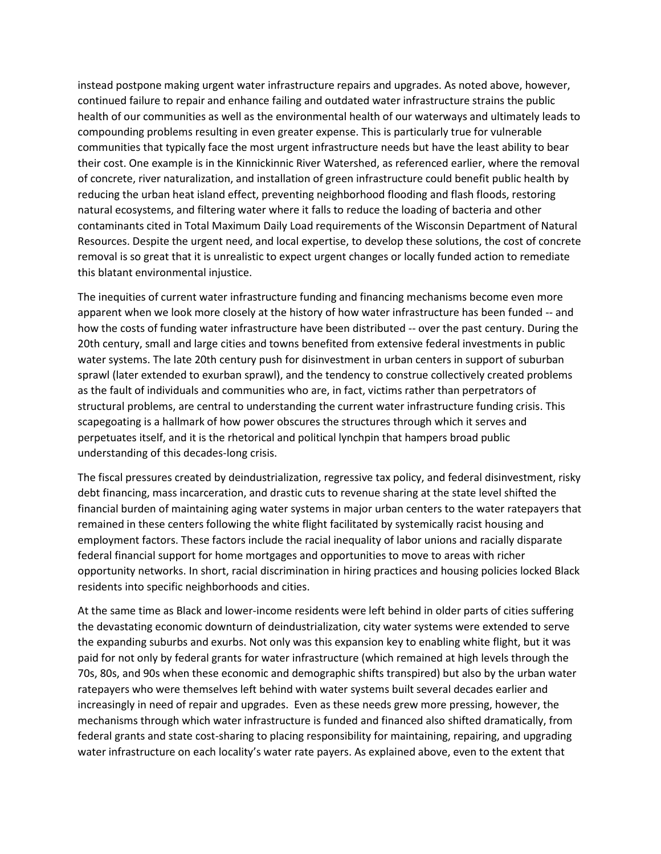instead postpone making urgent water infrastructure repairs and upgrades. As noted above, however, continued failure to repair and enhance failing and outdated water infrastructure strains the public health of our communities as well as the environmental health of our waterways and ultimately leads to compounding problems resulting in even greater expense. This is particularly true for vulnerable communities that typically face the most urgent infrastructure needs but have the least ability to bear their cost. One example is in the Kinnickinnic River Watershed, as referenced earlier, where the removal of concrete, river naturalization, and installation of green infrastructure could benefit public health by reducing the urban heat island effect, preventing neighborhood flooding and flash floods, restoring natural ecosystems, and filtering water where it falls to reduce the loading of bacteria and other contaminants cited in Total Maximum Daily Load requirements of the Wisconsin Department of Natural Resources. Despite the urgent need, and local expertise, to develop these solutions, the cost of concrete removal is so great that it is unrealistic to expect urgent changes or locally funded action to remediate this blatant environmental injustice.

The inequities of current water infrastructure funding and financing mechanisms become even more apparent when we look more closely at the history of how water infrastructure has been funded -- and how the costs of funding water infrastructure have been distributed -- over the past century. During the 20th century, small and large cities and towns benefited from extensive federal investments in public water systems. The late 20th century push for disinvestment in urban centers in support of suburban sprawl (later extended to exurban sprawl), and the tendency to construe collectively created problems as the fault of individuals and communities who are, in fact, victims rather than perpetrators of structural problems, are central to understanding the current water infrastructure funding crisis. This scapegoating is a hallmark of how power obscures the structures through which it serves and perpetuates itself, and it is the rhetorical and political lynchpin that hampers broad public understanding of this decades-long crisis.

The fiscal pressures created by deindustrialization, regressive tax policy, and federal disinvestment, risky debt financing, mass incarceration, and drastic cuts to revenue sharing at the state level shifted the financial burden of maintaining aging water systems in major urban centers to the water ratepayers that remained in these centers following the white flight facilitated by systemically racist housing and employment factors. These factors include the racial inequality of labor unions and racially disparate federal financial support for home mortgages and opportunities to move to areas with richer opportunity networks. In short, racial discrimination in hiring practices and housing policies locked Black residents into specific neighborhoods and cities.

At the same time as Black and lower-income residents were left behind in older parts of cities suffering the devastating economic downturn of deindustrialization, city water systems were extended to serve the expanding suburbs and exurbs. Not only was this expansion key to enabling white flight, but it was paid for not only by federal grants for water infrastructure (which remained at high levels through the 70s, 80s, and 90s when these economic and demographic shifts transpired) but also by the urban water ratepayers who were themselves left behind with water systems built several decades earlier and increasingly in need of repair and upgrades. Even as these needs grew more pressing, however, the mechanisms through which water infrastructure is funded and financed also shifted dramatically, from federal grants and state cost-sharing to placing responsibility for maintaining, repairing, and upgrading water infrastructure on each locality's water rate payers. As explained above, even to the extent that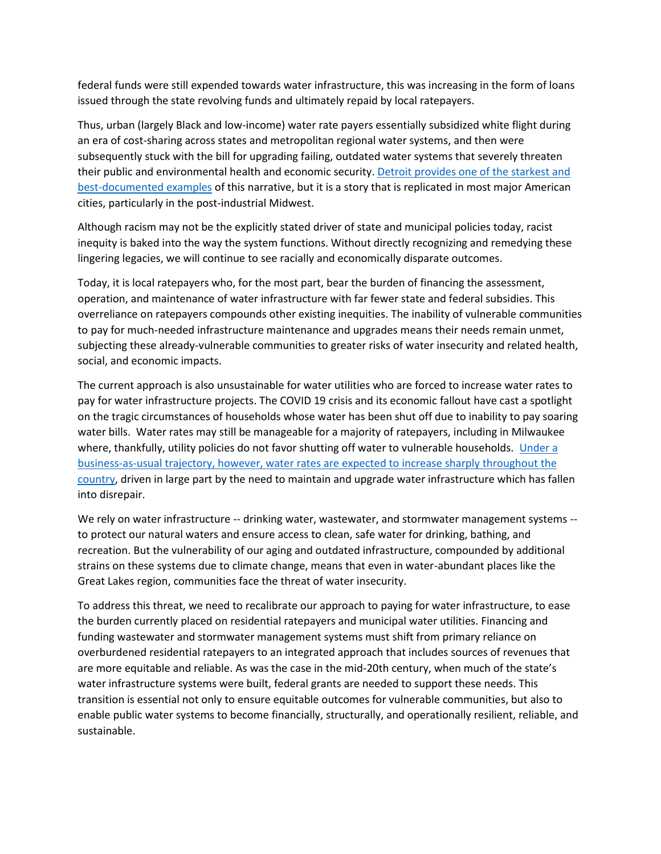federal funds were still expended towards water infrastructure, this was increasing in the form of loans issued through the state revolving funds and ultimately repaid by local ratepayers.

Thus, urban (largely Black and low-income) water rate payers essentially subsidized white flight during an era of cost-sharing across states and metropolitan regional water systems, and then were subsequently stuck with the bill for upgrading failing, outdated water systems that severely threaten their public and environmental health and economic security. Detroit provides one of the starkest and [best-documented examples](https://belonging.berkeley.edu/detroitwaterequity) of this narrative, but it is a story that is replicated in most major American cities, particularly in the post-industrial Midwest.

Although racism may not be the explicitly stated driver of state and municipal policies today, racist inequity is baked into the way the system functions. Without directly recognizing and remedying these lingering legacies, we will continue to see racially and economically disparate outcomes.

Today, it is local ratepayers who, for the most part, bear the burden of financing the assessment, operation, and maintenance of water infrastructure with far fewer state and federal subsidies. This overreliance on ratepayers compounds other existing inequities. The inability of vulnerable communities to pay for much-needed infrastructure maintenance and upgrades means their needs remain unmet, subjecting these already-vulnerable communities to greater risks of water insecurity and related health, social, and economic impacts.

The current approach is also unsustainable for water utilities who are forced to increase water rates to pay for water infrastructure projects. The COVID 19 crisis and its economic fallout have cast a spotlight on the tragic circumstances of households whose water has been shut off due to inability to pay soaring water bills. Water rates may still be manageable for a majority of ratepayers, including in Milwaukee where, thankfully, utility policies do not favor shutting off water to vulnerable households. Under a [business-as-usual trajectory, however, water rates are expected to increase sharply throughout the](https://journals.plos.org/plosone/article?id=10.1371/journal.pone.0169488)  [country,](https://journals.plos.org/plosone/article?id=10.1371/journal.pone.0169488) driven in large part by the need to maintain and upgrade water infrastructure which has fallen into disrepair.

We rely on water infrastructure -- drinking water, wastewater, and stormwater management systems -to protect our natural waters and ensure access to clean, safe water for drinking, bathing, and recreation. But the vulnerability of our aging and outdated infrastructure, compounded by additional strains on these systems due to climate change, means that even in water-abundant places like the Great Lakes region, communities face the threat of water insecurity.

To address this threat, we need to recalibrate our approach to paying for water infrastructure, to ease the burden currently placed on residential ratepayers and municipal water utilities. Financing and funding wastewater and stormwater management systems must shift from primary reliance on overburdened residential ratepayers to an integrated approach that includes sources of revenues that are more equitable and reliable. As was the case in the mid-20th century, when much of the state's water infrastructure systems were built, federal grants are needed to support these needs. This transition is essential not only to ensure equitable outcomes for vulnerable communities, but also to enable public water systems to become financially, structurally, and operationally resilient, reliable, and sustainable.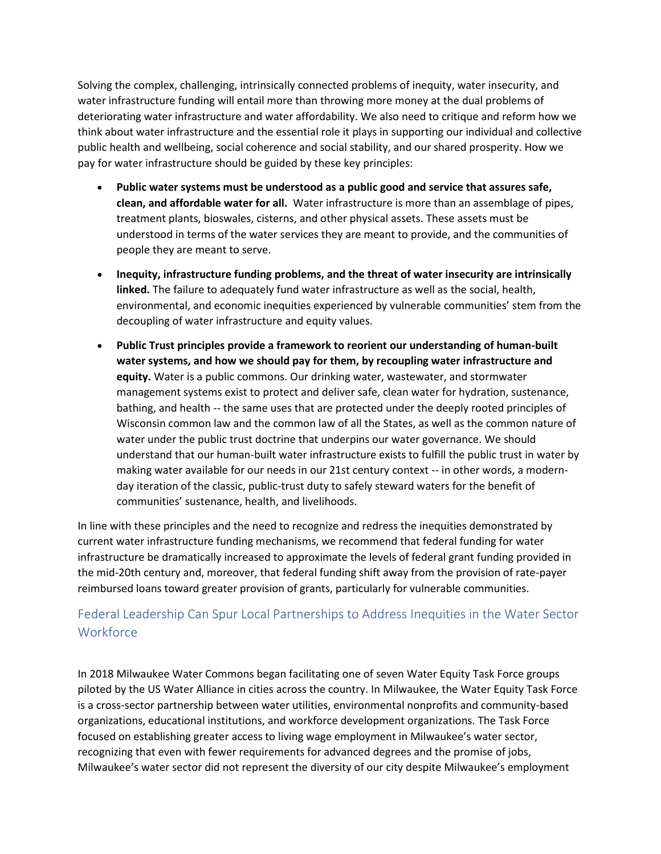Solving the complex, challenging, intrinsically connected problems of inequity, water insecurity, and water infrastructure funding will entail more than throwing more money at the dual problems of deteriorating water infrastructure and water affordability. We also need to critique and reform how we think about water infrastructure and the essential role it plays in supporting our individual and collective public health and wellbeing, social coherence and social stability, and our shared prosperity. How we pay for water infrastructure should be guided by these key principles:

- **Public water systems must be understood as a public good and service that assures safe, clean, and affordable water for all.** Water infrastructure is more than an assemblage of pipes, treatment plants, bioswales, cisterns, and other physical assets. These assets must be understood in terms of the water services they are meant to provide, and the communities of people they are meant to serve.
- **Inequity, infrastructure funding problems, and the threat of water insecurity are intrinsically linked.** The failure to adequately fund water infrastructure as well as the social, health, environmental, and economic inequities experienced by vulnerable communities' stem from the decoupling of water infrastructure and equity values.
- **Public Trust principles provide a framework to reorient our understanding of human-built water systems, and how we should pay for them, by recoupling water infrastructure and equity.** Water is a public commons. Our drinking water, wastewater, and stormwater management systems exist to protect and deliver safe, clean water for hydration, sustenance, bathing, and health -- the same uses that are protected under the deeply rooted principles of Wisconsin common law and the common law of all the States, as well as the common nature of water under the public trust doctrine that underpins our water governance. We should understand that our human-built water infrastructure exists to fulfill the public trust in water by making water available for our needs in our 21st century context -- in other words, a modernday iteration of the classic, public-trust duty to safely steward waters for the benefit of communities' sustenance, health, and livelihoods.

In line with these principles and the need to recognize and redress the inequities demonstrated by current water infrastructure funding mechanisms, we recommend that federal funding for water infrastructure be dramatically increased to approximate the levels of federal grant funding provided in the mid-20th century and, moreover, that federal funding shift away from the provision of rate-payer reimbursed loans toward greater provision of grants, particularly for vulnerable communities.

# Federal Leadership Can Spur Local Partnerships to Address Inequities in the Water Sector **Workforce**

In 2018 Milwaukee Water Commons began facilitating one of seven Water Equity Task Force groups piloted by the US Water Alliance in cities across the country. In Milwaukee, the Water Equity Task Force is a cross-sector partnership between water utilities, environmental nonprofits and community-based organizations, educational institutions, and workforce development organizations. The Task Force focused on establishing greater access to living wage employment in Milwaukee's water sector, recognizing that even with fewer requirements for advanced degrees and the promise of jobs, Milwaukee's water sector did not represent the diversity of our city despite Milwaukee's employment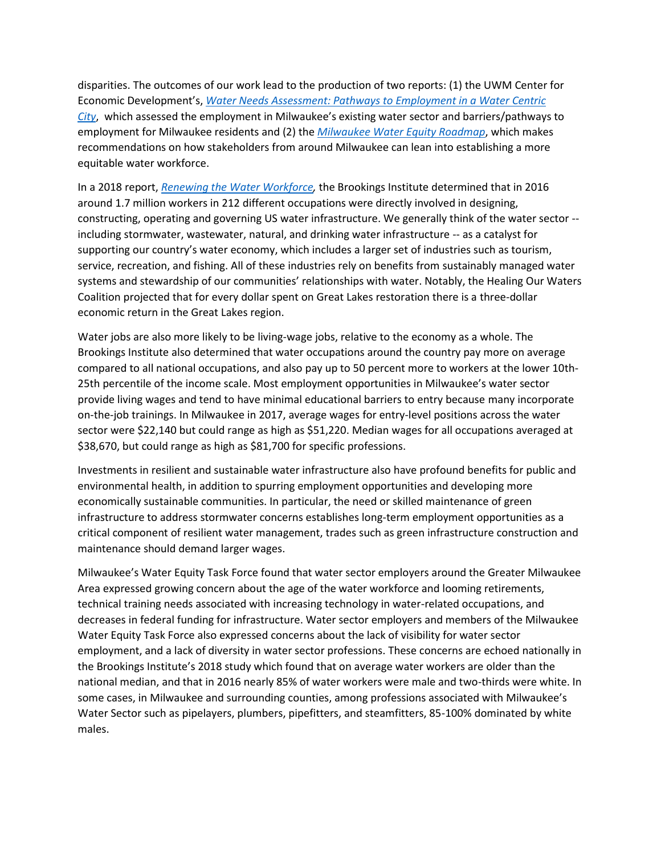disparities. The outcomes of our work lead to the production of two reports: (1) the UWM Center for Economic Development's, *[Water Needs Assessment: Pathways to Employment in a Water Centric](https://dc.uwm.edu/ced_pubs/53/)  [City](https://dc.uwm.edu/ced_pubs/53/)*, which assessed the employment in Milwaukee's existing water sector and barriers/pathways to employment for Milwaukee residents and (2) the *[Milwaukee Water Equity Roadmap](http://www.uswateralliance.org/sites/uswateralliance.org/files/publications/USWA_Milwaukee%20Equity%20Roadmap.pdf)*, which makes recommendations on how stakeholders from around Milwaukee can lean into establishing a more equitable water workforce.

In a 2018 report, *[Renewing the Water Workforce,](https://www.brookings.edu/wp-content/uploads/2018/06/Brookings-Metro-Renewing-the-Water-Workforce-June-2018.pdf)* the Brookings Institute determined that in 2016 around 1.7 million workers in 212 different occupations were directly involved in designing, constructing, operating and governing US water infrastructure. We generally think of the water sector - including stormwater, wastewater, natural, and drinking water infrastructure -- as a catalyst for supporting our country's water economy, which includes a larger set of industries such as tourism, service, recreation, and fishing. All of these industries rely on benefits from sustainably managed water systems and stewardship of our communities' relationships with water. Notably, the Healing Our Waters Coalition projected that for every dollar spent on Great Lakes restoration there is a three-dollar economic return in the Great Lakes region.

Water jobs are also more likely to be living-wage jobs, relative to the economy as a whole. The Brookings Institute also determined that water occupations around the country pay more on average compared to all national occupations, and also pay up to 50 percent more to workers at the lower 10th-25th percentile of the income scale. Most employment opportunities in Milwaukee's water sector provide living wages and tend to have minimal educational barriers to entry because many incorporate on-the-job trainings. In Milwaukee in 2017, average wages for entry-level positions across the water sector were \$22,140 but could range as high as \$51,220. Median wages for all occupations averaged at \$38,670, but could range as high as \$81,700 for specific professions.

Investments in resilient and sustainable water infrastructure also have profound benefits for public and environmental health, in addition to spurring employment opportunities and developing more economically sustainable communities. In particular, the need or skilled maintenance of green infrastructure to address stormwater concerns establishes long-term employment opportunities as a critical component of resilient water management, trades such as green infrastructure construction and maintenance should demand larger wages.

Milwaukee's Water Equity Task Force found that water sector employers around the Greater Milwaukee Area expressed growing concern about the age of the water workforce and looming retirements, technical training needs associated with increasing technology in water-related occupations, and decreases in federal funding for infrastructure. Water sector employers and members of the Milwaukee Water Equity Task Force also expressed concerns about the lack of visibility for water sector employment, and a lack of diversity in water sector professions. These concerns are echoed nationally in the Brookings Institute's 2018 study which found that on average water workers are older than the national median, and that in 2016 nearly 85% of water workers were male and two-thirds were white. In some cases, in Milwaukee and surrounding counties, among professions associated with Milwaukee's Water Sector such as pipelayers, plumbers, pipefitters, and steamfitters, 85-100% dominated by white males.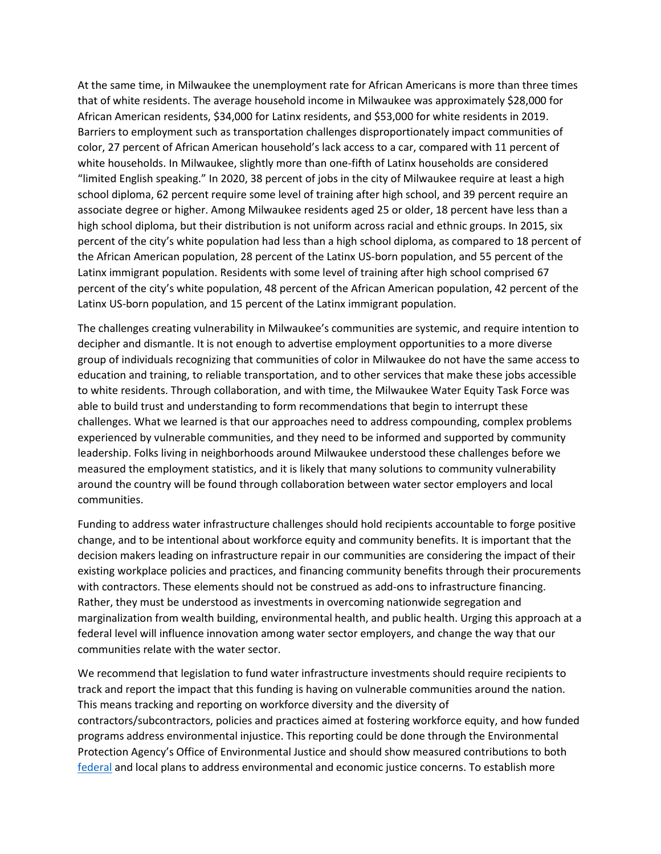At the same time, in Milwaukee the unemployment rate for African Americans is more than three times that of white residents. The average household income in Milwaukee was approximately \$28,000 for African American residents, \$34,000 for Latinx residents, and \$53,000 for white residents in 2019. Barriers to employment such as transportation challenges disproportionately impact communities of color, 27 percent of African American household's lack access to a car, compared with 11 percent of white households. In Milwaukee, slightly more than one-fifth of Latinx households are considered "limited English speaking." In 2020, 38 percent of jobs in the city of Milwaukee require at least a high school diploma, 62 percent require some level of training after high school, and 39 percent require an associate degree or higher. Among Milwaukee residents aged 25 or older, 18 percent have less than a high school diploma, but their distribution is not uniform across racial and ethnic groups. In 2015, six percent of the city's white population had less than a high school diploma, as compared to 18 percent of the African American population, 28 percent of the Latinx US-born population, and 55 percent of the Latinx immigrant population. Residents with some level of training after high school comprised 67 percent of the city's white population, 48 percent of the African American population, 42 percent of the Latinx US-born population, and 15 percent of the Latinx immigrant population.

The challenges creating vulnerability in Milwaukee's communities are systemic, and require intention to decipher and dismantle. It is not enough to advertise employment opportunities to a more diverse group of individuals recognizing that communities of color in Milwaukee do not have the same access to education and training, to reliable transportation, and to other services that make these jobs accessible to white residents. Through collaboration, and with time, the Milwaukee Water Equity Task Force was able to build trust and understanding to form recommendations that begin to interrupt these challenges. What we learned is that our approaches need to address compounding, complex problems experienced by vulnerable communities, and they need to be informed and supported by community leadership. Folks living in neighborhoods around Milwaukee understood these challenges before we measured the employment statistics, and it is likely that many solutions to community vulnerability around the country will be found through collaboration between water sector employers and local communities.

Funding to address water infrastructure challenges should hold recipients accountable to forge positive change, and to be intentional about workforce equity and community benefits. It is important that the decision makers leading on infrastructure repair in our communities are considering the impact of their existing workplace policies and practices, and financing community benefits through their procurements with contractors. These elements should not be construed as add-ons to infrastructure financing. Rather, they must be understood as investments in overcoming nationwide segregation and marginalization from wealth building, environmental health, and public health. Urging this approach at a federal level will influence innovation among water sector employers, and change the way that our communities relate with the water sector.

We recommend that legislation to fund water infrastructure investments should require recipients to track and report the impact that this funding is having on vulnerable communities around the nation. This means tracking and reporting on workforce diversity and the diversity of contractors/subcontractors, policies and practices aimed at fostering workforce equity, and how funded programs address environmental injustice. This reporting could be done through the Environmental Protection Agency's Office of Environmental Justice and should show measured contributions to both [federal](https://www.epa.gov/sites/production/files/2016-05/documents/052216_ej_2020_strategic_plan_final_0.pdf) and local plans to address environmental and economic justice concerns. To establish more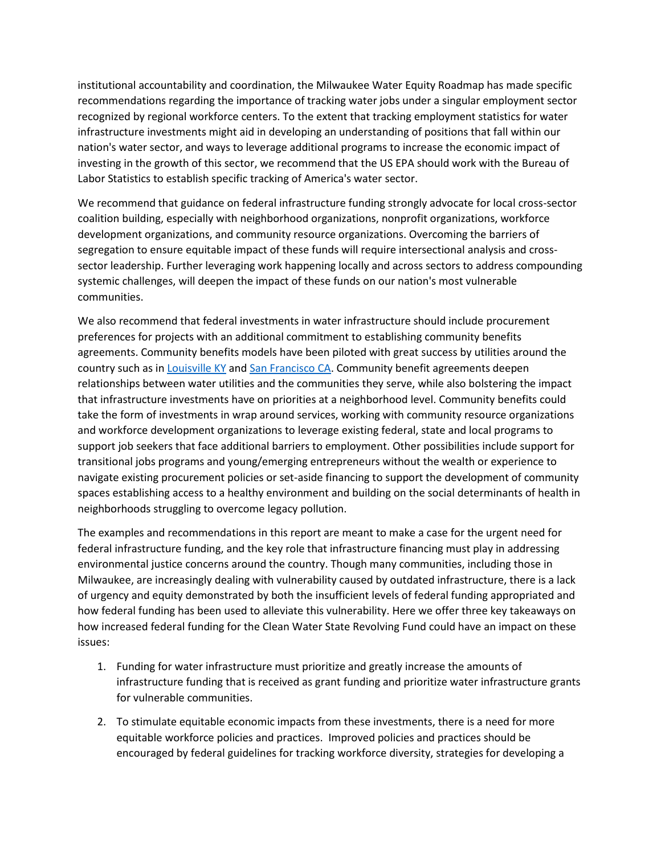institutional accountability and coordination, the Milwaukee Water Equity Roadmap has made specific recommendations regarding the importance of tracking water jobs under a singular employment sector recognized by regional workforce centers. To the extent that tracking employment statistics for water infrastructure investments might aid in developing an understanding of positions that fall within our nation's water sector, and ways to leverage additional programs to increase the economic impact of investing in the growth of this sector, we recommend that the US EPA should work with the Bureau of Labor Statistics to establish specific tracking of America's water sector.

We recommend that guidance on federal infrastructure funding strongly advocate for local cross-sector coalition building, especially with neighborhood organizations, nonprofit organizations, workforce development organizations, and community resource organizations. Overcoming the barriers of segregation to ensure equitable impact of these funds will require intersectional analysis and crosssector leadership. Further leveraging work happening locally and across sectors to address compounding systemic challenges, will deepen the impact of these funds on our nation's most vulnerable communities.

We also recommend that federal investments in water infrastructure should include procurement preferences for projects with an additional commitment to establishing community benefits agreements. Community benefits models have been piloted with great success by utilities around the country such as in [Louisville KY](http://louisvillemsd.org/doing-business-us/community-benefits) and [San Francisco CA.](https://sfwater.org/index.aspx?page=644) Community benefit agreements deepen relationships between water utilities and the communities they serve, while also bolstering the impact that infrastructure investments have on priorities at a neighborhood level. Community benefits could take the form of investments in wrap around services, working with community resource organizations and workforce development organizations to leverage existing federal, state and local programs to support job seekers that face additional barriers to employment. Other possibilities include support for transitional jobs programs and young/emerging entrepreneurs without the wealth or experience to navigate existing procurement policies or set-aside financing to support the development of community spaces establishing access to a healthy environment and building on the social determinants of health in neighborhoods struggling to overcome legacy pollution.

The examples and recommendations in this report are meant to make a case for the urgent need for federal infrastructure funding, and the key role that infrastructure financing must play in addressing environmental justice concerns around the country. Though many communities, including those in Milwaukee, are increasingly dealing with vulnerability caused by outdated infrastructure, there is a lack of urgency and equity demonstrated by both the insufficient levels of federal funding appropriated and how federal funding has been used to alleviate this vulnerability. Here we offer three key takeaways on how increased federal funding for the Clean Water State Revolving Fund could have an impact on these issues:

- 1. Funding for water infrastructure must prioritize and greatly increase the amounts of infrastructure funding that is received as grant funding and prioritize water infrastructure grants for vulnerable communities.
- 2. To stimulate equitable economic impacts from these investments, there is a need for more equitable workforce policies and practices. Improved policies and practices should be encouraged by federal guidelines for tracking workforce diversity, strategies for developing a